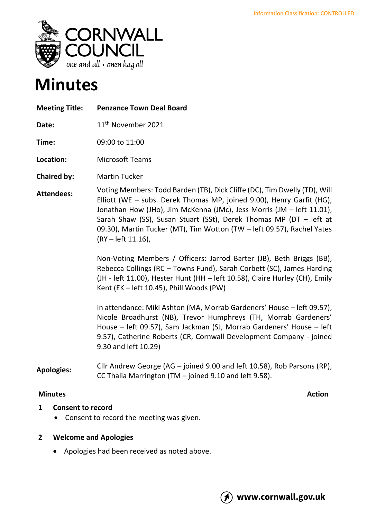

# **Minutes**

| <b>Meeting Title:</b> | <b>Penzance Town Deal Board</b>                                                                                                                                                                                                                                                                                                                                                                   |
|-----------------------|---------------------------------------------------------------------------------------------------------------------------------------------------------------------------------------------------------------------------------------------------------------------------------------------------------------------------------------------------------------------------------------------------|
| Date:                 | 11 <sup>th</sup> November 2021                                                                                                                                                                                                                                                                                                                                                                    |
| Time:                 | 09:00 to 11:00                                                                                                                                                                                                                                                                                                                                                                                    |
| Location:             | <b>Microsoft Teams</b>                                                                                                                                                                                                                                                                                                                                                                            |
| <b>Chaired by:</b>    | <b>Martin Tucker</b>                                                                                                                                                                                                                                                                                                                                                                              |
| <b>Attendees:</b>     | Voting Members: Todd Barden (TB), Dick Cliffe (DC), Tim Dwelly (TD), Will<br>Elliott (WE - subs. Derek Thomas MP, joined 9.00), Henry Garfit (HG),<br>Jonathan How (JHo), Jim McKenna (JMc), Jess Morris (JM - left 11.01),<br>Sarah Shaw (SS), Susan Stuart (SSt), Derek Thomas MP (DT - left at<br>09.30), Martin Tucker (MT), Tim Wotton (TW - left 09.57), Rachel Yates<br>(RY - left 11.16), |
|                       | Non-Voting Members / Officers: Jarrod Barter (JB), Beth Briggs (BB),<br>Rebecca Collings (RC - Towns Fund), Sarah Corbett (SC), James Harding<br>(JH - left 11.00), Hester Hunt (HH - left 10.58), Claire Hurley (CH), Emily<br>Kent (EK - left 10.45), Phill Woods (PW)                                                                                                                          |
|                       | In attendance: Miki Ashton (MA, Morrab Gardeners' House - left 09.57),<br>Nicole Broadhurst (NB), Trevor Humphreys (TH, Morrab Gardeners'<br>House – left 09.57), Sam Jackman (SJ, Morrab Gardeners' House – left<br>9.57), Catherine Roberts (CR, Cornwall Development Company - joined<br>9.30 and left 10.29)                                                                                  |
| <b>Apologies:</b>     | Cllr Andrew George (AG - joined 9.00 and left 10.58), Rob Parsons (RP),<br>CC Thalia Marrington (TM - joined 9.10 and left 9.58).                                                                                                                                                                                                                                                                 |

# **Minutes** Action

# **1 Consent to record**

• Consent to record the meeting was given.

# **2 Welcome and Apologies**

• Apologies had been received as noted above.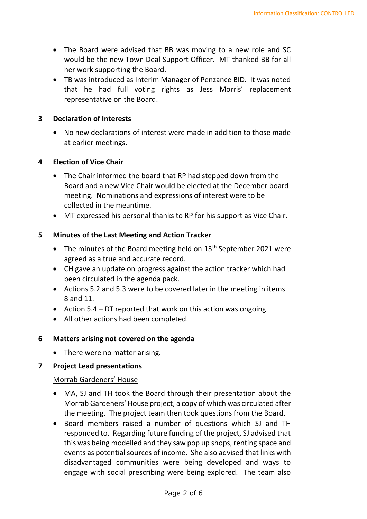- The Board were advised that BB was moving to a new role and SC would be the new Town Deal Support Officer. MT thanked BB for all her work supporting the Board.
- TB was introduced as Interim Manager of Penzance BID. It was noted that he had full voting rights as Jess Morris' replacement representative on the Board.

#### **3 Declaration of Interests**

• No new declarations of interest were made in addition to those made at earlier meetings.

### **4 Election of Vice Chair**

- The Chair informed the board that RP had stepped down from the Board and a new Vice Chair would be elected at the December board meeting. Nominations and expressions of interest were to be collected in the meantime.
- MT expressed his personal thanks to RP for his support as Vice Chair.

### **5 Minutes of the Last Meeting and Action Tracker**

- The minutes of the Board meeting held on  $13<sup>th</sup>$  September 2021 were agreed as a true and accurate record.
- CH gave an update on progress against the action tracker which had been circulated in the agenda pack.
- Actions 5.2 and 5.3 were to be covered later in the meeting in items 8 and 11.
- Action 5.4 DT reported that work on this action was ongoing.
- All other actions had been completed.

# **6 Matters arising not covered on the agenda**

• There were no matter arising.

#### **7 Project Lead presentations**

#### Morrab Gardeners' House

- MA, SJ and TH took the Board through their presentation about the Morrab Gardeners' House project, a copy of which was circulated after the meeting. The project team then took questions from the Board.
- Board members raised a number of questions which SJ and TH responded to. Regarding future funding of the project, SJ advised that this was being modelled and they saw pop up shops, renting space and events as potential sources of income. She also advised that links with disadvantaged communities were being developed and ways to engage with social prescribing were being explored. The team also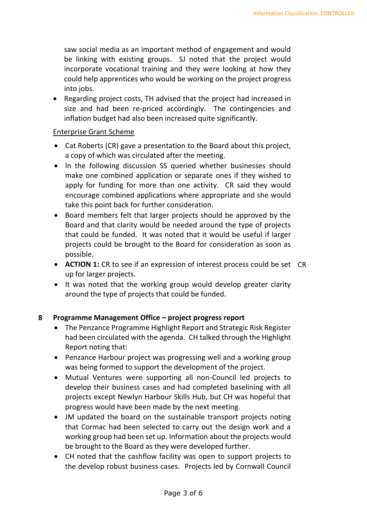saw social media as an important method of engagement and would be linking with existing groups. SJ noted that the project would incorporate vocational training and they were looking at how they could help apprentices who would be working on the project progress into jobs.

• Regarding project costs, TH advised that the project had increased in size and had been re-priced accordingly. The contingencies and inflation budget had also been increased quite significantly.

### Enterprise Grant Scheme

- Cat Roberts (CR) gave a presentation to the Board about this project, a copy of which was circulated after the meeting.
- In the following discussion SS queried whether businesses should make one combined application or separate ones if they wished to apply for funding for more than one activity. CR said they would encourage combined applications where appropriate and she would take this point back for further consideration.
- Board members felt that larger projects should be approved by the Board and that clarity would be needed around the type of projects that could be funded. It was noted that it would be useful if larger projects could be brought to the Board for consideration as soon as possible.
- **ACTION 1:** CR to see if an expression of interest process could be set CR up for larger projects.
- It was noted that the working group would develop greater clarity around the type of projects that could be funded.

# **8 Programme Management Office – project progress report**

- The Penzance Programme Highlight Report and Strategic Risk Register had been circulated with the agenda. CH talked through the Highlight Report noting that:
- Penzance Harbour project was progressing well and a working group was being formed to support the development of the project.
- Mutual Ventures were supporting all non-Council led projects to develop their business cases and had completed baselining with all projects except Newlyn Harbour Skills Hub, but CH was hopeful that progress would have been made by the next meeting.
- JM updated the board on the sustainable transport projects noting that Cormac had been selected to carry out the design work and a working group had been set up. Information about the projects would be brought to the Board as they were developed further.
- CH noted that the cashflow facility was open to support projects to the develop robust business cases. Projects led by Cornwall Council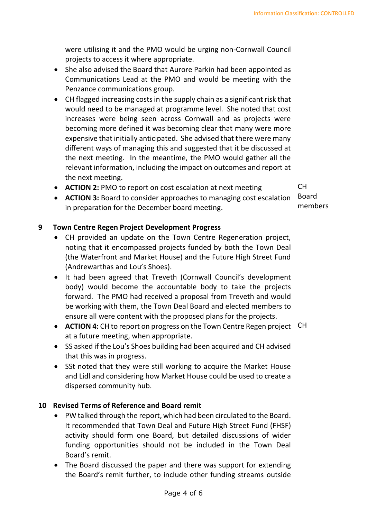were utilising it and the PMO would be urging non-Cornwall Council projects to access it where appropriate.

- She also advised the Board that Aurore Parkin had been appointed as Communications Lead at the PMO and would be meeting with the Penzance communications group.
- CH flagged increasing costs in the supply chain as a significant risk that would need to be managed at programme level. She noted that cost increases were being seen across Cornwall and as projects were becoming more defined it was becoming clear that many were more expensive that initially anticipated. She advised that there were many different ways of managing this and suggested that it be discussed at the next meeting. In the meantime, the PMO would gather all the relevant information, including the impact on outcomes and report at the next meeting.
- **ACTION 2:** PMO to report on cost escalation at next meeting

 $CH$ 

• **ACTION 3:** Board to consider approaches to managing cost escalation in preparation for the December board meeting.

Board members

### **9 Town Centre Regen Project Development Progress**

- CH provided an update on the Town Centre Regeneration project, noting that it encompassed projects funded by both the Town Deal (the Waterfront and Market House) and the Future High Street Fund (Andrewarthas and Lou's Shoes).
- It had been agreed that Treveth (Cornwall Council's development body) would become the accountable body to take the projects forward. The PMO had received a proposal from Treveth and would be working with them, the Town Deal Board and elected members to ensure all were content with the proposed plans for the projects.
- **ACTION 4:** CH to report on progress on the Town Centre Regen project CH at a future meeting, when appropriate.
- SS asked if the Lou's Shoes building had been acquired and CH advised that this was in progress.
- SSt noted that they were still working to acquire the Market House and Lidl and considering how Market House could be used to create a dispersed community hub.

#### **10 Revised Terms of Reference and Board remit**

- PW talked through the report, which had been circulated to the Board. It recommended that Town Deal and Future High Street Fund (FHSF) activity should form one Board, but detailed discussions of wider funding opportunities should not be included in the Town Deal Board's remit.
- The Board discussed the paper and there was support for extending the Board's remit further, to include other funding streams outside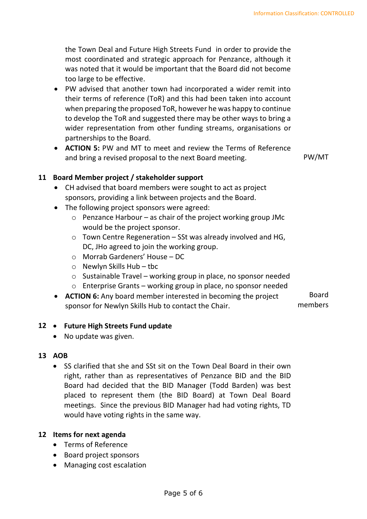the Town Deal and Future High Streets Fund in order to provide the most coordinated and strategic approach for Penzance, although it was noted that it would be important that the Board did not become too large to be effective.

- PW advised that another town had incorporated a wider remit into their terms of reference (ToR) and this had been taken into account when preparing the proposed ToR, however he was happy to continue to develop the ToR and suggested there may be other ways to bring a wider representation from other funding streams, organisations or partnerships to the Board.
- **ACTION 5:** PW and MT to meet and review the Terms of Reference and bring a revised proposal to the next Board meeting. PW/MT

# **11 Board Member project / stakeholder support**

- CH advised that board members were sought to act as project sponsors, providing a link between projects and the Board.
- The following project sponsors were agreed:
	- $\circ$  Penzance Harbour as chair of the project working group JMc would be the project sponsor.
	- $\circ$  Town Centre Regeneration SSt was already involved and HG, DC, JHo agreed to join the working group.
	- o Morrab Gardeners' House DC
	- o Newlyn Skills Hub tbc
	- o Sustainable Travel working group in place, no sponsor needed
	- o Enterprise Grants working group in place, no sponsor needed
- **ACTION 6:** Any board member interested in becoming the project sponsor for Newlyn Skills Hub to contact the Chair. Board members

#### **12** • **Future High Streets Fund update**

• No update was given.

#### **13 AOB**

• SS clarified that she and SSt sit on the Town Deal Board in their own right, rather than as representatives of Penzance BID and the BID Board had decided that the BID Manager (Todd Barden) was best placed to represent them (the BID Board) at Town Deal Board meetings. Since the previous BID Manager had had voting rights, TD would have voting rights in the same way.

#### **12 Items for next agenda**

- Terms of Reference
- Board project sponsors
- Managing cost escalation